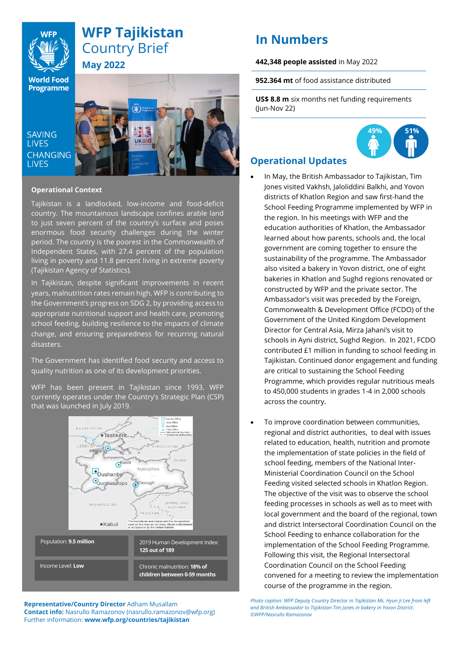

# **WFP Tajikistan**  Country Brief **May 2022**

**World Food** Programme

**SAVING LIVES CHANGING LIVES** 



### **Operational Context**

Tajikistan is a landlocked, low-income and food-deficit country. The mountainous landscape confines arable land to just seven percent of the country's surface and poses enormous food security challenges during the winter period. The country is the poorest in the Commonwealth of Independent States, with 27.4 percent of the population living in poverty and 11.8 percent living in extreme poverty (Tajikistan Agency of Statistics).

In Tajikistan, despite significant improvements in recent years, malnutrition rates remain high. WFP is contributing to the Government's progress on SDG 2, by providing access to appropriate nutritional support and health care, promoting school feeding, building resilience to the impacts of climate change, and ensuring preparedness for recurring natural disasters.

The Government has identified food security and access to quality nutrition as one of its development priorities.

WFP has been present in Tajikistan since 1993. WFP currently operates under the Country's Strategic Plan (CSP) that was launched in July 2019.



**Representative/Country Director** Adham Musallam **Contact info:** Nasrullo Ramazonov (nasrullo.ramazonov@wfp.org) Further information: **[www.wfp.org/countries/tajikistan](http://www.wfp.org/countries/tajikistan)**

# **In Numbers**

#### **442,348 people assisted** in May 2022

**952.364 mt** of food assistance distributed

**US\$ 8.8 m** six months net funding requirements (Jun-Nov 22)



## **Operational Updates**

- In May, the British Ambassador to Tajikistan, Tim Jones visited Vakhsh, Jaloliddini Balkhi, and Yovon districts of Khatlon Region and saw first-hand the School Feeding Programme implemented by WFP in the region. In his meetings with WFP and the education authorities of Khatlon, the Ambassador learned about how parents, schools and, the local government are coming together to ensure the sustainability of the programme. The Ambassador also visited a bakery in Yovon district, one of eight bakeries in Khatlon and Sughd regions renovated or constructed by WFP and the private sector. The Ambassador's visit was preceded by the Foreign, Commonwealth & Development Office (FCDO) of the Government of the United Kingdom Development Director for Central Asia, Mirza Jahani's visit to schools in Ayni district, Sughd Region. In 2021, FCDO contributed £1 million in funding to school feeding in Tajikistan. Continued donor engagement and funding are critical to sustaining the School Feeding Programme, which provides regular nutritious meals to 450,000 students in grades 1-4 in 2,000 schools across the country.
- To improve coordination between communities, regional and district authorities, to deal with issues related to education, health, nutrition and promote the implementation of state policies in the field of school feeding, members of the National Inter-Ministerial Coordination Council on the School Feeding visited selected schools in Khatlon Region. The objective of the visit was to observe the school feeding processes in schools as well as to meet with local government and the board of the regional, town and district Intersectoral Coordination Council on the School Feeding to enhance collaboration for the implementation of the School Feeding Programme. Following this visit, the Regional Intersectoral Coordination Council on the School Feeding convened for a meeting to review the implementation course of the programme in the region.

*Photo caption: WFP Deputy Country Director in Tajikistan Ms. Hyun Ji Lee from left and British Ambassador to Tajikistan Tim Jones in bakery in Yovon District. ©WFP/Nasrullo Ramazonov*